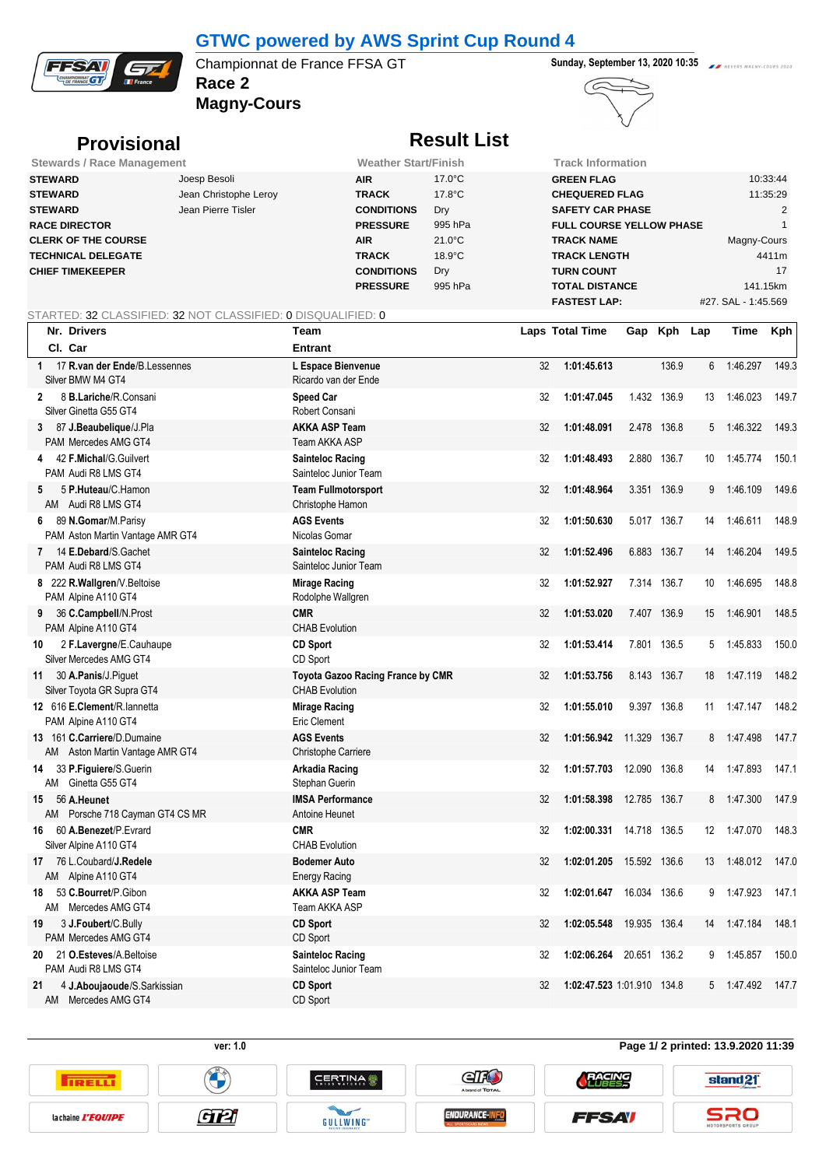

## **GTWC powered by AWS Sprint Cup Round 4**

**Race 2 Championnat de France FFSA GT Sunday, September 13, 2020 10:35** 

**Magny-Cours**



**TRELL** 

la chaine *L'EQUIPE* 

## **Provisional Result List**

| <b>Stewards / Race Management</b> |                       | <b>Weather Start/Finish</b> |                  | Track Information               |                     |  |  |  |
|-----------------------------------|-----------------------|-----------------------------|------------------|---------------------------------|---------------------|--|--|--|
| <b>STEWARD</b>                    | Joesp Besoli          | <b>AIR</b>                  | $17.0^{\circ}$ C | <b>GREEN FLAG</b>               | 10:33:44            |  |  |  |
| <b>STEWARD</b>                    | Jean Christophe Leroy | <b>TRACK</b>                | $17.8^{\circ}$ C | <b>CHEQUERED FLAG</b>           | 11:35:29            |  |  |  |
| <b>STEWARD</b>                    | Jean Pierre Tisler    | <b>CONDITIONS</b>           | Dry              | <b>SAFETY CAR PHASE</b>         |                     |  |  |  |
| <b>RACE DIRECTOR</b>              |                       | <b>PRESSURE</b>             | 995 hPa          | <b>FULL COURSE YELLOW PHASE</b> |                     |  |  |  |
| <b>CLERK OF THE COURSE</b>        |                       | <b>AIR</b>                  | $21.0^{\circ}$ C | <b>TRACK NAME</b>               | Magny-Cours         |  |  |  |
| <b>TECHNICAL DELEGATE</b>         |                       | <b>TRACK</b>                | $18.9^{\circ}$ C | <b>TRACK LENGTH</b>             | 4411m               |  |  |  |
| <b>CHIEF TIMEKEEPER</b>           |                       | <b>CONDITIONS</b>           | Dry              | <b>TURN COUNT</b>               | 17                  |  |  |  |
|                                   |                       | <b>PRESSURE</b>             | 995 hPa          | <b>TOTAL DISTANCE</b>           | 141.15km            |  |  |  |
|                                   |                       |                             |                  | <b>FASTEST LAP:</b>             | #27. SAL - 1:45.569 |  |  |  |

## STARTED: 32 CLASSIFIED: 32 NOT CLASSIFIED: 0 DISQUALIFIED: 0

| Nr. Drivers                                                     | <b>Team</b>                                                |    | <b>Laps Total Time</b>     |              | Gap Kph Lap |    | Time     | Kph   |
|-----------------------------------------------------------------|------------------------------------------------------------|----|----------------------------|--------------|-------------|----|----------|-------|
| Cl. Car                                                         | <b>Entrant</b>                                             |    |                            |              |             |    |          |       |
| 17 R.van der Ende/B.Lessennes<br>1<br>Silver BMW M4 GT4         | L Espace Bienvenue<br>Ricardo van der Ende                 | 32 | 1:01:45.613                |              | 136.9       | 6  | 1:46.297 | 149.3 |
| 8 B.Lariche/R.Consani<br>$\mathbf{2}$<br>Silver Ginetta G55 GT4 | <b>Speed Car</b><br>Robert Consani                         | 32 | 1:01:47.045                |              | 1.432 136.9 | 13 | 1.46.023 | 149.7 |
| 87 J.Beaubelique/J.Pla<br>3<br>PAM Mercedes AMG GT4             | <b>AKKA ASP Team</b><br>Team AKKA ASP                      | 32 | 1:01:48.091                |              | 2.478 136.8 | 5  | 1:46.322 | 149.3 |
| 42 F.Michal/G.Guilvert<br>4<br>PAM Audi R8 LMS GT4              | <b>Sainteloc Racing</b><br>Sainteloc Junior Team           | 32 | 1:01:48.493                |              | 2.880 136.7 | 10 | 1.45.774 | 150.1 |
| 5 P.Huteau/C.Hamon<br>5<br>AM Audi R8 LMS GT4                   | <b>Team Fullmotorsport</b><br>Christophe Hamon             | 32 | 1:01:48.964                |              | 3.351 136.9 | 9  | 1:46.109 | 149.6 |
| 89 N.Gomar/M.Parisy<br>6<br>PAM Aston Martin Vantage AMR GT4    | <b>AGS Events</b><br>Nicolas Gomar                         | 32 | 1:01:50.630                |              | 5.017 136.7 | 14 | 1:46.611 | 148.9 |
| 14 E.Debard/S.Gachet<br>7<br>PAM Audi R8 LMS GT4                | <b>Sainteloc Racing</b><br>Sainteloc Junior Team           | 32 | 1:01:52.496                |              | 6.883 136.7 | 14 | 1:46.204 | 149.5 |
| 8 222 R.Wallgren/V.Beltoise<br>PAM Alpine A110 GT4              | <b>Mirage Racing</b><br>Rodolphe Wallgren                  | 32 | 1:01:52.927                |              | 7.314 136.7 | 10 | 1.46.695 | 148.8 |
| 36 C.Campbell/N.Prost<br>9<br>PAM Alpine A110 GT4               | <b>CMR</b><br><b>CHAB Evolution</b>                        | 32 | 1:01:53.020                |              | 7.407 136.9 | 15 | 146 901  | 148.5 |
| 2 F.Lavergne/E.Cauhaupe<br>10<br>Silver Mercedes AMG GT4        | <b>CD Sport</b><br>CD Sport                                | 32 | 1:01:53.414                |              | 7.801 136.5 | 5  | 1.45.833 | 150.0 |
| 30 A.Panis/J.Piguet<br>11<br>Silver Toyota GR Supra GT4         | Toyota Gazoo Racing France by CMR<br><b>CHAB Evolution</b> | 32 | 1:01:53.756                |              | 8.143 136.7 | 18 | 1.47.119 | 148.2 |
| 12 616 E.Clement/R. lannetta<br>PAM Alpine A110 GT4             | <b>Mirage Racing</b><br>Eric Clement                       | 32 | 1:01:55.010                |              | 9.397 136.8 | 11 | 147.147  | 148.2 |
| 13 161 C.Carriere/D.Dumaine<br>AM Aston Martin Vantage AMR GT4  | <b>AGS Events</b><br>Christophe Carriere                   | 32 | 1:01:56.942                | 11.329 136.7 |             | 8  | 1:47.498 | 147.7 |
| 33 P.Figuiere/S.Guerin<br>14<br>AM Ginetta G55 GT4              | <b>Arkadia Racing</b><br>Stephan Guerin                    | 32 | 1:01:57.703                | 12.090 136.8 |             | 14 | 1 47 893 | 147.1 |
| 56 A.Heunet<br>15<br>Porsche 718 Cayman GT4 CS MR<br>AM         | <b>IMSA Performance</b><br>Antoine Heunet                  | 32 | 1:01:58.398                | 12.785 136.7 |             | 8  | 1.47.300 | 147.9 |
| 60 A.Benezet/P.Evrard<br>16<br>Silver Alpine A110 GT4           | <b>CMR</b><br><b>CHAB Evolution</b>                        | 32 | 1:02:00.331                | 14.718 136.5 |             | 12 | 1:47.070 | 148.3 |
| 76 L.Coubard/ <b>J.Redele</b><br>17<br>AM Alpine A110 GT4       | <b>Bodemer Auto</b><br><b>Energy Racing</b>                | 32 | 1:02:01.205                | 15.592 136.6 |             | 13 | 1.48.012 | 147.0 |
| 53 C.Bourret/P.Gibon<br>18<br>Mercedes AMG GT4<br>AM            | <b>AKKA ASP Team</b><br>Team AKKA ASP                      | 32 | 1:02:01.647                | 16.034 136.6 |             | 9  | 1:47.923 | 147.1 |
| 3 J.Foubert/C.Bully<br>19<br>PAM Mercedes AMG GT4               | <b>CD Sport</b><br>CD Sport                                | 32 | 1:02:05.548                | 19.935 136.4 |             | 14 | 1.47.184 | 148.1 |
| 21 O.Esteves/A.Beltoise<br>20<br>PAM Audi R8 LMS GT4            | <b>Sainteloc Racing</b><br>Sainteloc Junior Team           | 32 | 1:02:06.264                | 20.651 136.2 |             | 9  | 1:45.857 | 150.0 |
| 4 J.Aboujaoude/S.Sarkissian<br>21<br>Mercedes AMG GT4<br>AM     | <b>CD Sport</b><br>CD Sport                                | 32 | 1:02:47.523 1:01.910 134.8 |              |             | 5  | 1.47.492 | 147.7 |



## **ver: 1.0 Page 1/ 2 printed: 13.9.2020 11:39**